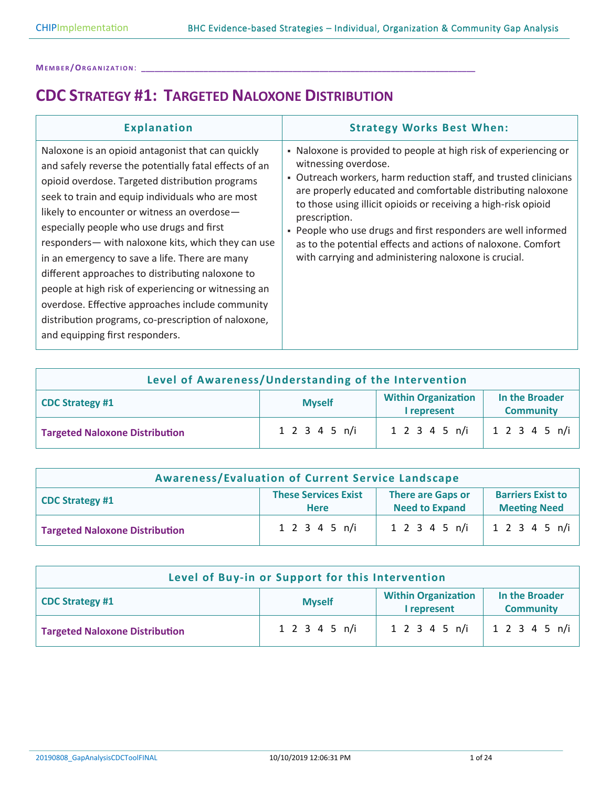### **CDC STRATEGY #1: TARGETED NALOXONE DISTRIBUTION**

| <b>Explanation</b>                                                                                                                                                                                                                                                                                                                                                                                                                                                                                                                                                                                                                                                               | <b>Strategy Works Best When:</b>                                                                                                                                                                                                                                                                                                                                                                                                                                                                        |
|----------------------------------------------------------------------------------------------------------------------------------------------------------------------------------------------------------------------------------------------------------------------------------------------------------------------------------------------------------------------------------------------------------------------------------------------------------------------------------------------------------------------------------------------------------------------------------------------------------------------------------------------------------------------------------|---------------------------------------------------------------------------------------------------------------------------------------------------------------------------------------------------------------------------------------------------------------------------------------------------------------------------------------------------------------------------------------------------------------------------------------------------------------------------------------------------------|
| Naloxone is an opioid antagonist that can quickly<br>and safely reverse the potentially fatal effects of an<br>opioid overdose. Targeted distribution programs<br>seek to train and equip individuals who are most<br>likely to encounter or witness an overdose-<br>especially people who use drugs and first<br>responders— with naloxone kits, which they can use<br>in an emergency to save a life. There are many<br>different approaches to distributing naloxone to<br>people at high risk of experiencing or witnessing an<br>overdose. Effective approaches include community<br>distribution programs, co-prescription of naloxone,<br>and equipping first responders. | • Naloxone is provided to people at high risk of experiencing or<br>witnessing overdose.<br>• Outreach workers, harm reduction staff, and trusted clinicians<br>are properly educated and comfortable distributing naloxone<br>to those using illicit opioids or receiving a high-risk opioid<br>prescription.<br>. People who use drugs and first responders are well informed<br>as to the potential effects and actions of naloxone. Comfort<br>with carrying and administering naloxone is crucial. |

| Level of Awareness/Understanding of the Intervention                                                                       |               |               |           |  |
|----------------------------------------------------------------------------------------------------------------------------|---------------|---------------|-----------|--|
| <b>Within Organization</b><br>In the Broader<br><b>Myself</b><br><b>CDC Strategy #1</b><br>I represent<br><b>Community</b> |               |               |           |  |
| <b>Targeted Naloxone Distribution</b>                                                                                      | 1 2 3 4 5 n/i | 1 2 3 4 5 n/i | 12345 n/i |  |

| <b>Awareness/Evaluation of Current Service Landscape</b>                                                                                                                     |               |  |                                 |  |
|------------------------------------------------------------------------------------------------------------------------------------------------------------------------------|---------------|--|---------------------------------|--|
| <b>These Services Exist</b><br><b>There are Gaps or</b><br><b>Barriers Exist to</b><br><b>CDC Strategy #1</b><br><b>Need to Expand</b><br><b>Meeting Need</b><br><b>Here</b> |               |  |                                 |  |
| <b>Targeted Naloxone Distribution</b>                                                                                                                                        | 1 2 3 4 5 n/i |  | $1 2 3 4 5 n/i$   1 2 3 4 5 n/i |  |

| Level of Buy-in or Support for this Intervention                                                                    |               |               |                      |
|---------------------------------------------------------------------------------------------------------------------|---------------|---------------|----------------------|
| <b>Within Organization</b><br>In the Broader<br>CDC Strategy #1<br><b>Myself</b><br>I represent<br><b>Community</b> |               |               |                      |
| <b>Targeted Naloxone Distribution</b>                                                                               | 1 2 3 4 5 n/i | 1 2 3 4 5 n/i | $1\;2\;3\;4\;5\;n/i$ |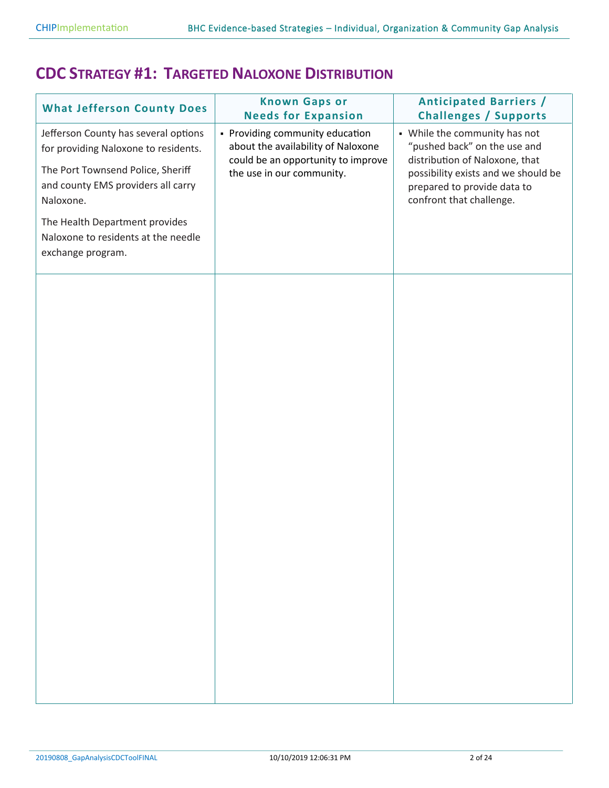### **CDC STRATEGY #1: TARGETED NALOXONE DISTRIBUTION**

| <b>What Jefferson County Does</b>                                                                                                                                                                                                                                  | <b>Known Gaps or</b><br><b>Needs for Expansion</b>                                                                                       | <b>Anticipated Barriers /</b><br><b>Challenges / Supports</b>                                                                                                                                     |
|--------------------------------------------------------------------------------------------------------------------------------------------------------------------------------------------------------------------------------------------------------------------|------------------------------------------------------------------------------------------------------------------------------------------|---------------------------------------------------------------------------------------------------------------------------------------------------------------------------------------------------|
| Jefferson County has several options<br>for providing Naloxone to residents.<br>The Port Townsend Police, Sheriff<br>and county EMS providers all carry<br>Naloxone.<br>The Health Department provides<br>Naloxone to residents at the needle<br>exchange program. | • Providing community education<br>about the availability of Naloxone<br>could be an opportunity to improve<br>the use in our community. | • While the community has not<br>"pushed back" on the use and<br>distribution of Naloxone, that<br>possibility exists and we should be<br>prepared to provide data to<br>confront that challenge. |
|                                                                                                                                                                                                                                                                    |                                                                                                                                          |                                                                                                                                                                                                   |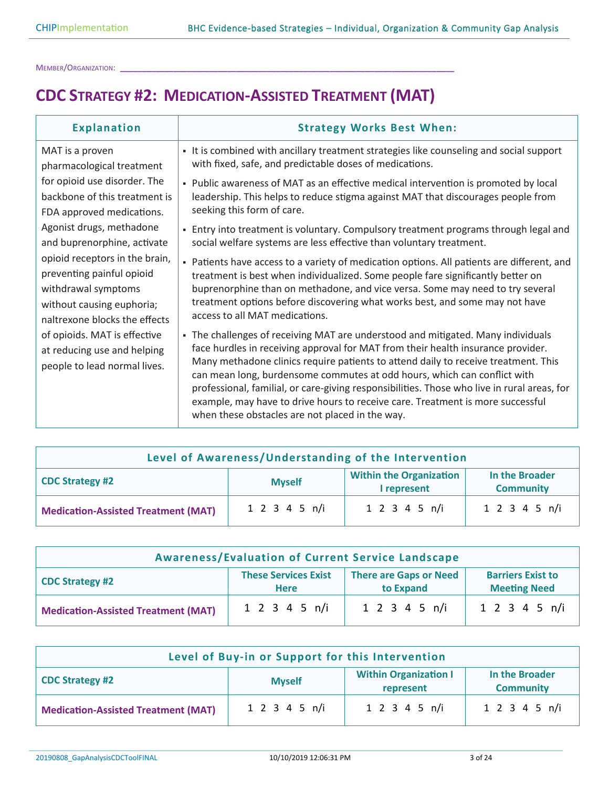## **CDC STRATEGY #2: MEDICATION-ASSISTED TREATMENT (MAT)**

| <b>Explanation</b>                                                                          | <b>Strategy Works Best When:</b>                                                                                                                                                                                                                                                                                                                                                                                                                                                                                                                                           |
|---------------------------------------------------------------------------------------------|----------------------------------------------------------------------------------------------------------------------------------------------------------------------------------------------------------------------------------------------------------------------------------------------------------------------------------------------------------------------------------------------------------------------------------------------------------------------------------------------------------------------------------------------------------------------------|
| MAT is a proven                                                                             | - It is combined with ancillary treatment strategies like counseling and social support                                                                                                                                                                                                                                                                                                                                                                                                                                                                                    |
| pharmacological treatment                                                                   | with fixed, safe, and predictable doses of medications.                                                                                                                                                                                                                                                                                                                                                                                                                                                                                                                    |
| for opioid use disorder. The                                                                | - Public awareness of MAT as an effective medical intervention is promoted by local                                                                                                                                                                                                                                                                                                                                                                                                                                                                                        |
| backbone of this treatment is                                                               | leadership. This helps to reduce stigma against MAT that discourages people from                                                                                                                                                                                                                                                                                                                                                                                                                                                                                           |
| FDA approved medications.                                                                   | seeking this form of care.                                                                                                                                                                                                                                                                                                                                                                                                                                                                                                                                                 |
| Agonist drugs, methadone                                                                    | - Entry into treatment is voluntary. Compulsory treatment programs through legal and                                                                                                                                                                                                                                                                                                                                                                                                                                                                                       |
| and buprenorphine, activate                                                                 | social welfare systems are less effective than voluntary treatment.                                                                                                                                                                                                                                                                                                                                                                                                                                                                                                        |
| opioid receptors in the brain,                                                              | - Patients have access to a variety of medication options. All patients are different, and                                                                                                                                                                                                                                                                                                                                                                                                                                                                                 |
| preventing painful opioid                                                                   | treatment is best when individualized. Some people fare significantly better on                                                                                                                                                                                                                                                                                                                                                                                                                                                                                            |
| withdrawal symptoms                                                                         | buprenorphine than on methadone, and vice versa. Some may need to try several                                                                                                                                                                                                                                                                                                                                                                                                                                                                                              |
| without causing euphoria;                                                                   | treatment options before discovering what works best, and some may not have                                                                                                                                                                                                                                                                                                                                                                                                                                                                                                |
| naltrexone blocks the effects                                                               | access to all MAT medications.                                                                                                                                                                                                                                                                                                                                                                                                                                                                                                                                             |
| of opioids. MAT is effective<br>at reducing use and helping<br>people to lead normal lives. | - The challenges of receiving MAT are understood and mitigated. Many individuals<br>face hurdles in receiving approval for MAT from their health insurance provider.<br>Many methadone clinics require patients to attend daily to receive treatment. This<br>can mean long, burdensome commutes at odd hours, which can conflict with<br>professional, familial, or care-giving responsibilities. Those who live in rural areas, for<br>example, may have to drive hours to receive care. Treatment is more successful<br>when these obstacles are not placed in the way. |

| Level of Awareness/Understanding of the Intervention                                                                           |               |               |               |
|--------------------------------------------------------------------------------------------------------------------------------|---------------|---------------|---------------|
| <b>Within the Organization</b><br>In the Broader<br><b>CDC Strategy #2</b><br><b>Myself</b><br>I represent<br><b>Community</b> |               |               |               |
| <b>Medication-Assisted Treatment (MAT)</b>                                                                                     | 1 2 3 4 5 n/i | 1 2 3 4 5 n/i | 1 2 3 4 5 n/i |

| <b>Awareness/Evaluation of Current Service Landscape</b>                                                                                                              |                            |                            |               |
|-----------------------------------------------------------------------------------------------------------------------------------------------------------------------|----------------------------|----------------------------|---------------|
| <b>These Services Exist</b><br><b>There are Gaps or Need</b><br><b>Barriers Exist to</b><br><b>CDC Strategy #2</b><br>to Expand<br><b>Meeting Need</b><br><b>Here</b> |                            |                            |               |
| <b>Medication-Assisted Treatment (MAT)</b>                                                                                                                            | $1 \t2 \t3 \t4 \t5 \t n/i$ | $1 \t2 \t3 \t4 \t5 \t n/i$ | 1 2 3 4 5 n/i |

| Level of Buy-in or Support for this Intervention                                                                    |               |               |               |
|---------------------------------------------------------------------------------------------------------------------|---------------|---------------|---------------|
| <b>Within Organization I</b><br>In the Broader<br>CDC Strategy #2<br><b>Myself</b><br><b>Community</b><br>represent |               |               |               |
| <b>Medication-Assisted Treatment (MAT)</b>                                                                          | 1 2 3 4 5 n/i | 1 2 3 4 5 n/i | 1 2 3 4 5 n/i |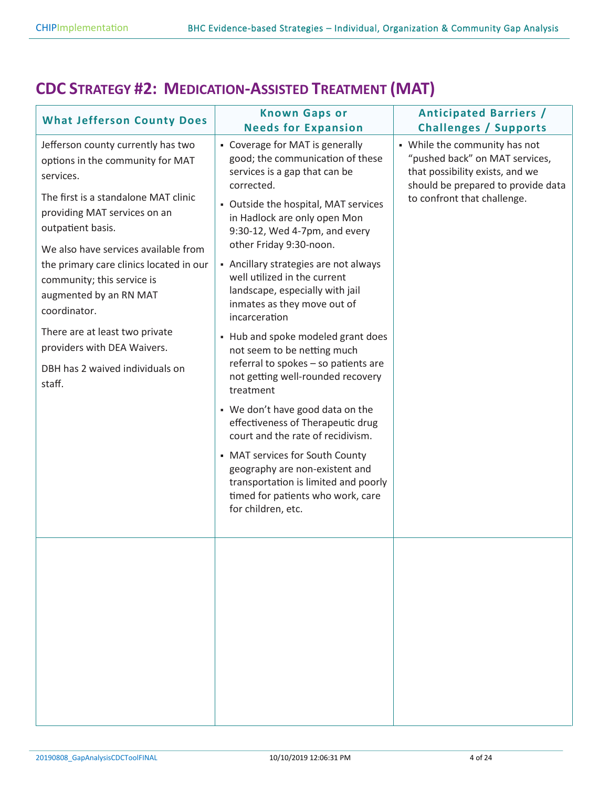## **CDC STRATEGY #2: MEDICATION-ASSISTED TREATMENT (MAT)**

| <b>What Jefferson County Does</b>                                                                                                                                                                                                                                                                                                                                                                                                                         | <b>Known Gaps or</b><br><b>Needs for Expansion</b>                                                                                                                                                                                                                                                                                                                                                                                                                                                                                                                                                                                                                                                                                                                                                                                                                      | <b>Anticipated Barriers /</b><br><b>Challenges / Supports</b>                                                                                                           |
|-----------------------------------------------------------------------------------------------------------------------------------------------------------------------------------------------------------------------------------------------------------------------------------------------------------------------------------------------------------------------------------------------------------------------------------------------------------|-------------------------------------------------------------------------------------------------------------------------------------------------------------------------------------------------------------------------------------------------------------------------------------------------------------------------------------------------------------------------------------------------------------------------------------------------------------------------------------------------------------------------------------------------------------------------------------------------------------------------------------------------------------------------------------------------------------------------------------------------------------------------------------------------------------------------------------------------------------------------|-------------------------------------------------------------------------------------------------------------------------------------------------------------------------|
| Jefferson county currently has two<br>options in the community for MAT<br>services.<br>The first is a standalone MAT clinic<br>providing MAT services on an<br>outpatient basis.<br>We also have services available from<br>the primary care clinics located in our<br>community; this service is<br>augmented by an RN MAT<br>coordinator.<br>There are at least two private<br>providers with DEA Waivers.<br>DBH has 2 waived individuals on<br>staff. | • Coverage for MAT is generally<br>good; the communication of these<br>services is a gap that can be<br>corrected.<br>• Outside the hospital, MAT services<br>in Hadlock are only open Mon<br>9:30-12, Wed 4-7pm, and every<br>other Friday 9:30-noon.<br>- Ancillary strategies are not always<br>well utilized in the current<br>landscape, especially with jail<br>inmates as they move out of<br>incarceration<br>- Hub and spoke modeled grant does<br>not seem to be netting much<br>referral to spokes - so patients are<br>not getting well-rounded recovery<br>treatment<br>• We don't have good data on the<br>effectiveness of Therapeutic drug<br>court and the rate of recidivism.<br>• MAT services for South County<br>geography are non-existent and<br>transportation is limited and poorly<br>timed for patients who work, care<br>for children, etc. | • While the community has not<br>"pushed back" on MAT services,<br>that possibility exists, and we<br>should be prepared to provide data<br>to confront that challenge. |
|                                                                                                                                                                                                                                                                                                                                                                                                                                                           |                                                                                                                                                                                                                                                                                                                                                                                                                                                                                                                                                                                                                                                                                                                                                                                                                                                                         |                                                                                                                                                                         |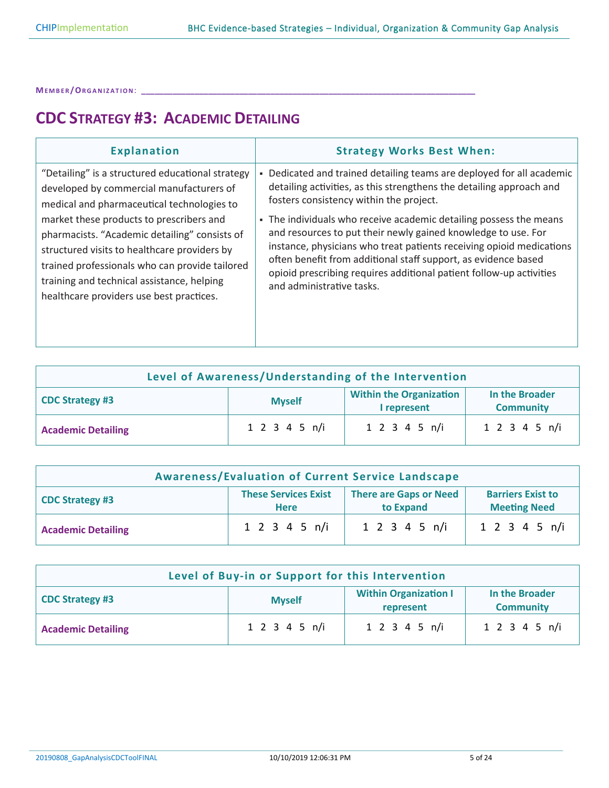# **CDC STRATEGY #3: ACADEMIC DETAILING**

| <b>Explanation</b>                                                                                                                                                                                                                                                                                                                                                                                                                  | <b>Strategy Works Best When:</b>                                                                                                                                                                                                                                                                                                                                                                                                                                                                                                                                              |
|-------------------------------------------------------------------------------------------------------------------------------------------------------------------------------------------------------------------------------------------------------------------------------------------------------------------------------------------------------------------------------------------------------------------------------------|-------------------------------------------------------------------------------------------------------------------------------------------------------------------------------------------------------------------------------------------------------------------------------------------------------------------------------------------------------------------------------------------------------------------------------------------------------------------------------------------------------------------------------------------------------------------------------|
| "Detailing" is a structured educational strategy<br>developed by commercial manufacturers of<br>medical and pharmaceutical technologies to<br>market these products to prescribers and<br>pharmacists. "Academic detailing" consists of<br>structured visits to healthcare providers by<br>trained professionals who can provide tailored<br>training and technical assistance, helping<br>healthcare providers use best practices. | - Dedicated and trained detailing teams are deployed for all academic<br>detailing activities, as this strengthens the detailing approach and<br>fosters consistency within the project.<br>• The individuals who receive academic detailing possess the means<br>and resources to put their newly gained knowledge to use. For<br>instance, physicians who treat patients receiving opioid medications<br>often benefit from additional staff support, as evidence based<br>opioid prescribing requires additional patient follow-up activities<br>and administrative tasks. |
|                                                                                                                                                                                                                                                                                                                                                                                                                                     |                                                                                                                                                                                                                                                                                                                                                                                                                                                                                                                                                                               |

| Level of Awareness/Understanding of the Intervention                                                                           |               |               |               |
|--------------------------------------------------------------------------------------------------------------------------------|---------------|---------------|---------------|
| <b>Within the Organization</b><br>In the Broader<br><b>CDC Strategy #3</b><br><b>Myself</b><br><b>Community</b><br>I represent |               |               |               |
| <b>Academic Detailing</b>                                                                                                      | 1 2 3 4 5 n/i | 1 2 3 4 5 n/i | 1 2 3 4 5 n/i |

| <b>Awareness/Evaluation of Current Service Landscape</b>                                                                                                              |               |               |               |
|-----------------------------------------------------------------------------------------------------------------------------------------------------------------------|---------------|---------------|---------------|
| <b>There are Gaps or Need</b><br><b>These Services Exist</b><br><b>Barriers Exist to</b><br><b>CDC Strategy #3</b><br>to Expand<br><b>Meeting Need</b><br><b>Here</b> |               |               |               |
| <b>Academic Detailing</b>                                                                                                                                             | 1 2 3 4 5 n/i | 1 2 3 4 5 n/i | 1 2 3 4 5 n/i |

| Level of Buy-in or Support for this Intervention                                                                           |               |               |               |  |
|----------------------------------------------------------------------------------------------------------------------------|---------------|---------------|---------------|--|
| <b>Within Organization I</b><br>In the Broader<br><b>CDC Strategy #3</b><br><b>Myself</b><br>represent<br><b>Community</b> |               |               |               |  |
| <b>Academic Detailing</b>                                                                                                  | 1 2 3 4 5 n/i | 1 2 3 4 5 n/i | 1 2 3 4 5 n/i |  |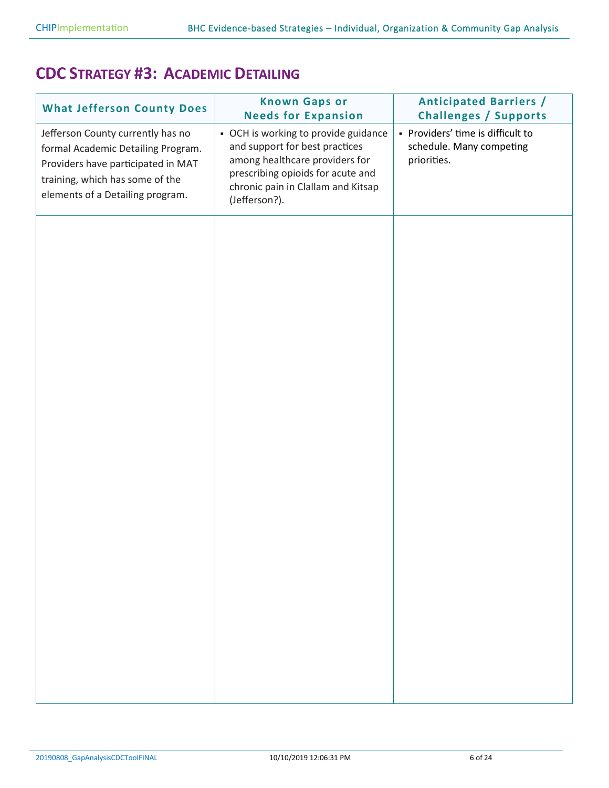### **CDC STRATEGY #3: ACADEMIC DETAILING**

| <b>What Jefferson County Does</b>                                                                                                                                                    | <b>Known Gaps or</b><br><b>Needs for Expansion</b>                                                                                                                                                   | <b>Anticipated Barriers /</b><br><b>Challenges / Supports</b>                |
|--------------------------------------------------------------------------------------------------------------------------------------------------------------------------------------|------------------------------------------------------------------------------------------------------------------------------------------------------------------------------------------------------|------------------------------------------------------------------------------|
| Jefferson County currently has no<br>formal Academic Detailing Program.<br>Providers have participated in MAT<br>training, which has some of the<br>elements of a Detailing program. | • OCH is working to provide guidance<br>and support for best practices<br>among healthcare providers for<br>prescribing opioids for acute and<br>chronic pain in Clallam and Kitsap<br>(Jefferson?). | - Providers' time is difficult to<br>schedule. Many competing<br>priorities. |
|                                                                                                                                                                                      |                                                                                                                                                                                                      |                                                                              |
|                                                                                                                                                                                      |                                                                                                                                                                                                      |                                                                              |
|                                                                                                                                                                                      |                                                                                                                                                                                                      |                                                                              |
|                                                                                                                                                                                      |                                                                                                                                                                                                      |                                                                              |
|                                                                                                                                                                                      |                                                                                                                                                                                                      |                                                                              |
|                                                                                                                                                                                      |                                                                                                                                                                                                      |                                                                              |
|                                                                                                                                                                                      |                                                                                                                                                                                                      |                                                                              |
|                                                                                                                                                                                      |                                                                                                                                                                                                      |                                                                              |
|                                                                                                                                                                                      |                                                                                                                                                                                                      |                                                                              |
|                                                                                                                                                                                      |                                                                                                                                                                                                      |                                                                              |
|                                                                                                                                                                                      |                                                                                                                                                                                                      |                                                                              |
|                                                                                                                                                                                      |                                                                                                                                                                                                      |                                                                              |
|                                                                                                                                                                                      |                                                                                                                                                                                                      |                                                                              |
|                                                                                                                                                                                      |                                                                                                                                                                                                      |                                                                              |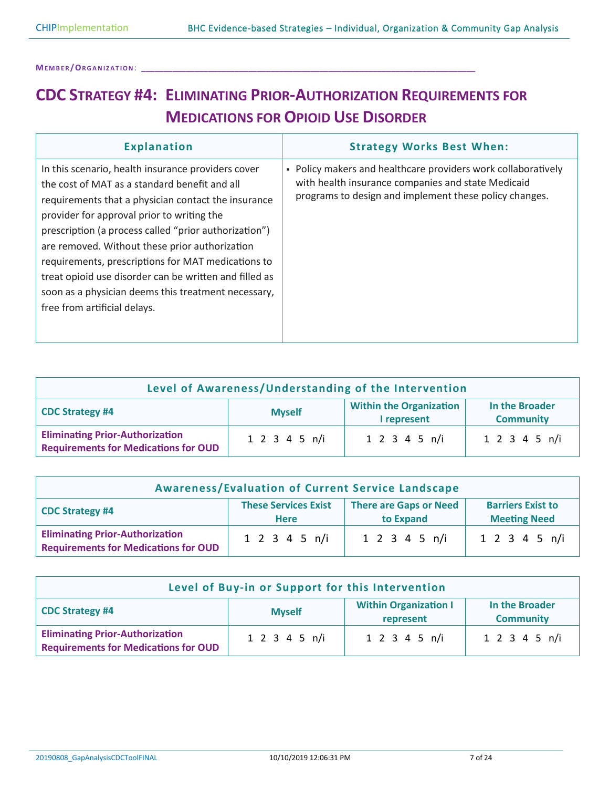# **CDC STRATEGY #4: ELIMINATING PRIOR-AUTHORIZATION REQUIREMENTS FOR MEDICATIONS FOR OPIOID USE DISORDER**

| <b>Explanation</b>                                                                                                                                                                                                                                                                                                                                                                                                                                                                                                         | <b>Strategy Works Best When:</b>                                                                                                                                              |
|----------------------------------------------------------------------------------------------------------------------------------------------------------------------------------------------------------------------------------------------------------------------------------------------------------------------------------------------------------------------------------------------------------------------------------------------------------------------------------------------------------------------------|-------------------------------------------------------------------------------------------------------------------------------------------------------------------------------|
| In this scenario, health insurance providers cover<br>the cost of MAT as a standard benefit and all<br>requirements that a physician contact the insurance<br>provider for approval prior to writing the<br>prescription (a process called "prior authorization")<br>are removed. Without these prior authorization<br>requirements, prescriptions for MAT medications to<br>treat opioid use disorder can be written and filled as<br>soon as a physician deems this treatment necessary,<br>free from artificial delays. | - Policy makers and healthcare providers work collaboratively<br>with health insurance companies and state Medicaid<br>programs to design and implement these policy changes. |

| Level of Awareness/Understanding of the Intervention                                                                           |               |               |               |
|--------------------------------------------------------------------------------------------------------------------------------|---------------|---------------|---------------|
| <b>Within the Organization</b><br>In the Broader<br><b>CDC Strategy #4</b><br><b>Myself</b><br><b>Community</b><br>I represent |               |               |               |
| <b>Eliminating Prior-Authorization</b><br><b>Requirements for Medications for OUD</b>                                          | 1 2 3 4 5 n/i | 1 2 3 4 5 n/i | 1 2 3 4 5 n/i |

| <b>Awareness/Evaluation of Current Service Landscape</b>                                                                                                              |               |               |                            |
|-----------------------------------------------------------------------------------------------------------------------------------------------------------------------|---------------|---------------|----------------------------|
| <b>These Services Exist</b><br><b>There are Gaps or Need</b><br><b>Barriers Exist to</b><br><b>CDC Strategy #4</b><br><b>Meeting Need</b><br>to Expand<br><b>Here</b> |               |               |                            |
| <b>Eliminating Prior-Authorization</b><br><b>Requirements for Medications for OUD</b>                                                                                 | 1 2 3 4 5 n/i | 1 2 3 4 5 n/i | $1 \t2 \t3 \t4 \t5 \t n/i$ |

| Level of Buy-in or Support for this Intervention                                                                    |               |               |               |  |
|---------------------------------------------------------------------------------------------------------------------|---------------|---------------|---------------|--|
| <b>Within Organization I</b><br>In the Broader<br>CDC Strategy #4<br><b>Myself</b><br><b>Community</b><br>represent |               |               |               |  |
| <b>Eliminating Prior-Authorization</b><br><b>Requirements for Medications for OUD</b>                               | 1 2 3 4 5 n/i | 1 2 3 4 5 n/i | 1 2 3 4 5 n/i |  |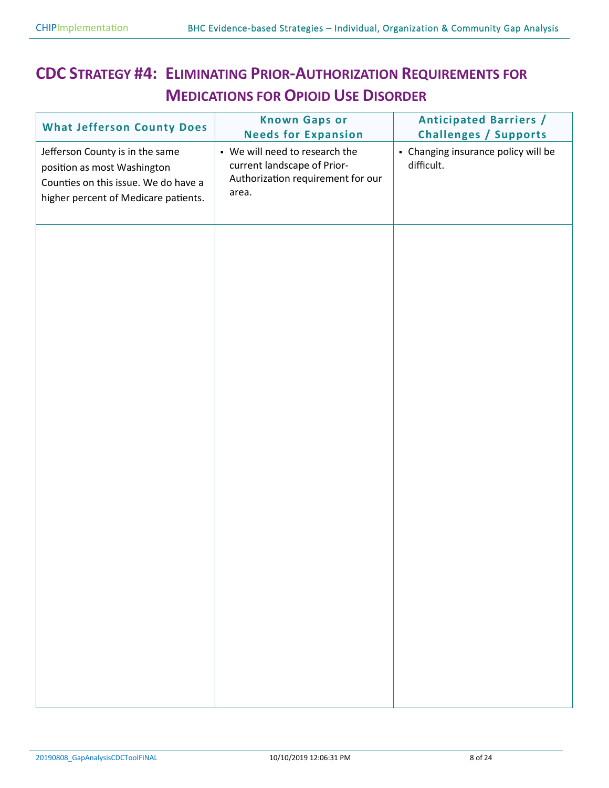# **CDC STRATEGY #4: ELIMINATING PRIOR-AUTHORIZATION REQUIREMENTS FOR MEDICATIONS FOR OPIOID USE DISORDER**

| <b>What Jefferson County Does</b>                                                                                                              | <b>Known Gaps or</b><br><b>Needs for Expansion</b>                                                          | <b>Anticipated Barriers /</b><br><b>Challenges / Supports</b> |
|------------------------------------------------------------------------------------------------------------------------------------------------|-------------------------------------------------------------------------------------------------------------|---------------------------------------------------------------|
| Jefferson County is in the same<br>position as most Washington<br>Counties on this issue. We do have a<br>higher percent of Medicare patients. | • We will need to research the<br>current landscape of Prior-<br>Authorization requirement for our<br>area. | - Changing insurance policy will be<br>difficult.             |
|                                                                                                                                                |                                                                                                             |                                                               |
|                                                                                                                                                |                                                                                                             |                                                               |
|                                                                                                                                                |                                                                                                             |                                                               |
|                                                                                                                                                |                                                                                                             |                                                               |
|                                                                                                                                                |                                                                                                             |                                                               |
|                                                                                                                                                |                                                                                                             |                                                               |
|                                                                                                                                                |                                                                                                             |                                                               |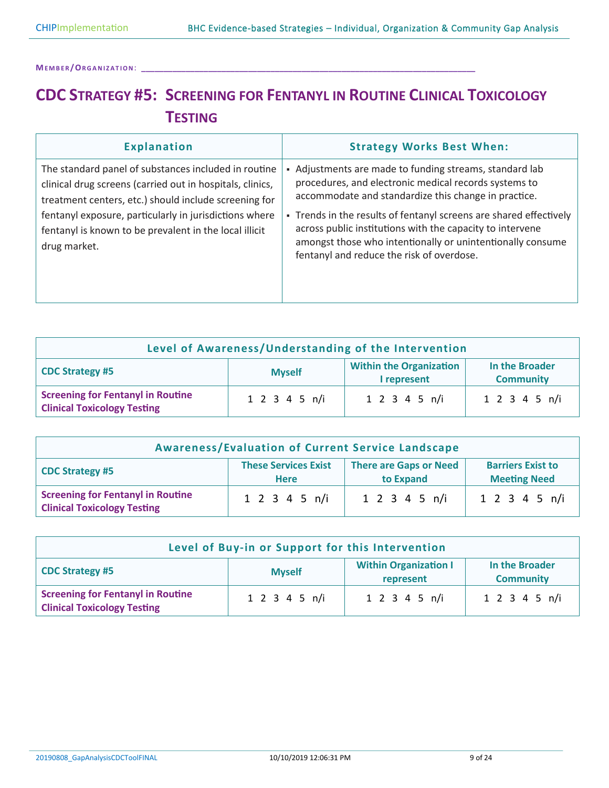## **CDC STRATEGY #5: SCREENING FOR FENTANYL IN ROUTINE CLINICAL TOXICOLOGY TESTING**

| <b>Explanation</b>                                                                                                                                                         | <b>Strategy Works Best When:</b>                                                                                                                                                                                                           |
|----------------------------------------------------------------------------------------------------------------------------------------------------------------------------|--------------------------------------------------------------------------------------------------------------------------------------------------------------------------------------------------------------------------------------------|
| The standard panel of substances included in routine<br>clinical drug screens (carried out in hospitals, clinics,<br>treatment centers, etc.) should include screening for | • Adjustments are made to funding streams, standard lab<br>procedures, and electronic medical records systems to<br>accommodate and standardize this change in practice.                                                                   |
| fentanyl exposure, particularly in jurisdictions where<br>fentanyl is known to be prevalent in the local illicit<br>drug market.                                           | - Trends in the results of fentanyl screens are shared effectively<br>across public institutions with the capacity to intervene<br>amongst those who intentionally or unintentionally consume<br>fentanyl and reduce the risk of overdose. |

| Level of Awareness/Understanding of the Intervention                                                                           |               |               |               |  |
|--------------------------------------------------------------------------------------------------------------------------------|---------------|---------------|---------------|--|
| <b>Within the Organization</b><br>In the Broader<br><b>CDC Strategy #5</b><br><b>Myself</b><br><b>Community</b><br>I represent |               |               |               |  |
| <b>Screening for Fentanyl in Routine</b><br><b>Clinical Toxicology Testing</b>                                                 | 1 2 3 4 5 n/i | 1 2 3 4 5 n/i | 1 2 3 4 5 n/i |  |

| <b>Awareness/Evaluation of Current Service Landscape</b>                                                                                                       |                            |                            |               |  |
|----------------------------------------------------------------------------------------------------------------------------------------------------------------|----------------------------|----------------------------|---------------|--|
| <b>These Services Exist</b><br>There are Gaps or Need<br><b>Barriers Exist to</b><br><b>CDC Strategy #5</b><br><b>Meeting Need</b><br>to Expand<br><b>Here</b> |                            |                            |               |  |
| <b>Screening for Fentanyl in Routine</b><br><b>Clinical Toxicology Testing</b>                                                                                 | $1 \t2 \t3 \t4 \t5 \t n/i$ | $1 \t2 \t3 \t4 \t5 \t n/i$ | 1 2 3 4 5 n/i |  |

| Level of Buy-in or Support for this Intervention                                                                           |               |               |               |  |
|----------------------------------------------------------------------------------------------------------------------------|---------------|---------------|---------------|--|
| <b>Within Organization I</b><br>In the Broader<br><b>CDC Strategy #5</b><br><b>Myself</b><br><b>Community</b><br>represent |               |               |               |  |
| <b>Screening for Fentanyl in Routine</b><br><b>Clinical Toxicology Testing</b>                                             | 1 2 3 4 5 n/i | 1 2 3 4 5 n/i | 1 2 3 4 5 n/i |  |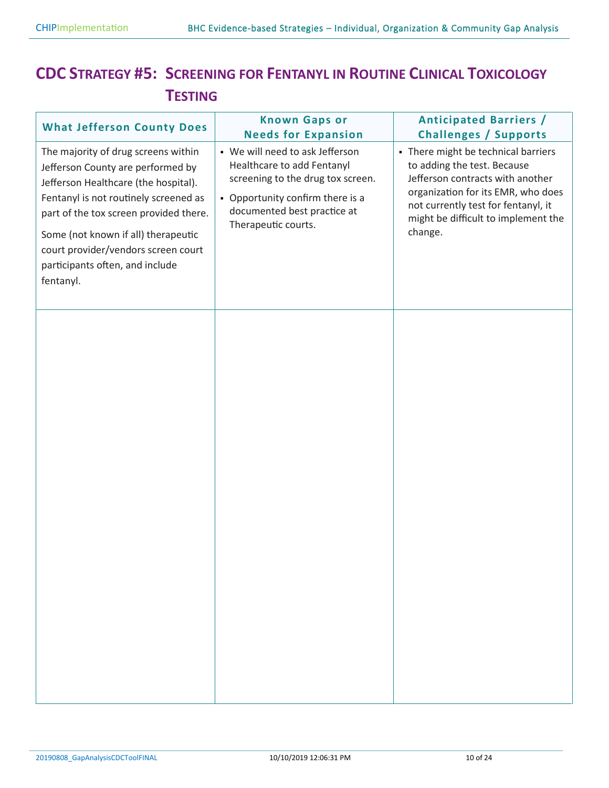### **CDC STRATEGY #5: SCREENING FOR FENTANYL IN ROUTINE CLINICAL TOXICOLOGY TESTING**

| <b>What Jefferson County Does</b>                                                                                                                                                                                                                                                                                                 | <b>Known Gaps or</b><br><b>Needs for Expansion</b>                                                                                                                                           | <b>Anticipated Barriers /</b><br><b>Challenges / Supports</b>                                                                                                                                                                         |
|-----------------------------------------------------------------------------------------------------------------------------------------------------------------------------------------------------------------------------------------------------------------------------------------------------------------------------------|----------------------------------------------------------------------------------------------------------------------------------------------------------------------------------------------|---------------------------------------------------------------------------------------------------------------------------------------------------------------------------------------------------------------------------------------|
| The majority of drug screens within<br>Jefferson County are performed by<br>Jefferson Healthcare (the hospital).<br>Fentanyl is not routinely screened as<br>part of the tox screen provided there.<br>Some (not known if all) therapeutic<br>court provider/vendors screen court<br>participants often, and include<br>fentanyl. | • We will need to ask Jefferson<br>Healthcare to add Fentanyl<br>screening to the drug tox screen.<br>• Opportunity confirm there is a<br>documented best practice at<br>Therapeutic courts. | - There might be technical barriers<br>to adding the test. Because<br>Jefferson contracts with another<br>organization for its EMR, who does<br>not currently test for fentanyl, it<br>might be difficult to implement the<br>change. |
|                                                                                                                                                                                                                                                                                                                                   |                                                                                                                                                                                              |                                                                                                                                                                                                                                       |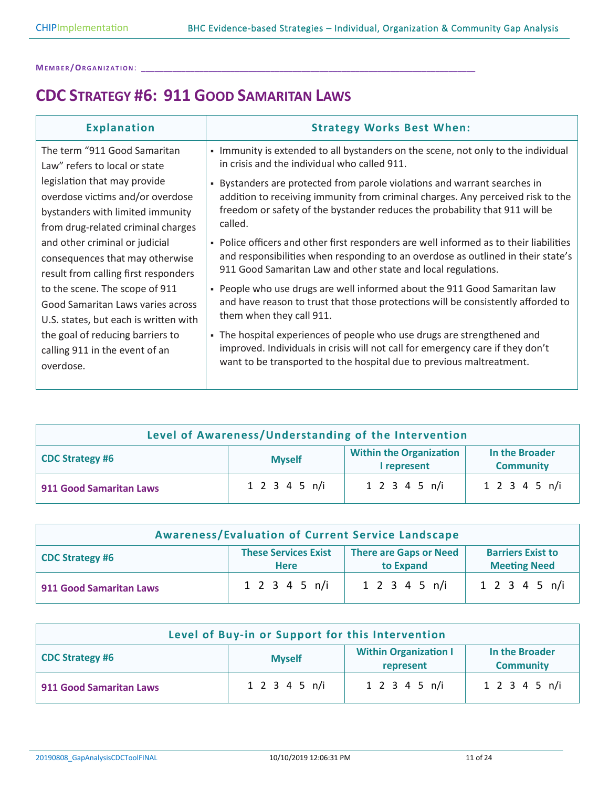**ME M B E R /OR G A N I Z A T I O N**: **\_\_\_\_\_\_\_\_\_\_\_\_\_\_\_\_\_\_\_\_\_\_\_\_\_\_\_\_\_\_\_\_\_\_\_\_\_\_\_\_\_\_\_\_\_\_\_\_\_\_\_\_\_\_\_\_\_\_\_\_\_\_\_\_\_\_\_\_\_\_\_\_\_\_\_**

### **CDC STRATEGY #6: 911 GOOD SAMARITAN LAWS**

| <b>Explanation</b>                    | <b>Strategy Works Best When:</b>                                                       |
|---------------------------------------|----------------------------------------------------------------------------------------|
| The term "911 Good Samaritan          | - Immunity is extended to all bystanders on the scene, not only to the individual      |
| Law" refers to local or state         | in crisis and the individual who called 911.                                           |
| legislation that may provide          | - Bystanders are protected from parole violations and warrant searches in              |
| overdose victims and/or overdose      | addition to receiving immunity from criminal charges. Any perceived risk to the        |
| bystanders with limited immunity      | freedom or safety of the bystander reduces the probability that 911 will be            |
| from drug-related criminal charges    | called.                                                                                |
| and other criminal or judicial        | - Police officers and other first responders are well informed as to their liabilities |
| consequences that may otherwise       | and responsibilities when responding to an overdose as outlined in their state's       |
| result from calling first responders  | 911 Good Samaritan Law and other state and local regulations.                          |
| to the scene. The scope of 911        | - People who use drugs are well informed about the 911 Good Samaritan law              |
| Good Samaritan Laws varies across     | and have reason to trust that those protections will be consistently afforded to       |
| U.S. states, but each is written with | them when they call 911.                                                               |
| the goal of reducing barriers to      | - The hospital experiences of people who use drugs are strengthened and                |
| calling 911 in the event of an        | improved. Individuals in crisis will not call for emergency care if they don't         |
| overdose.                             | want to be transported to the hospital due to previous maltreatment.                   |

| Level of Awareness/Understanding of the Intervention |               |                                               |                                    |
|------------------------------------------------------|---------------|-----------------------------------------------|------------------------------------|
| <b>CDC Strategy #6</b>                               | <b>Myself</b> | <b>Within the Organization</b><br>I represent | In the Broader<br><b>Community</b> |
| 911 Good Samaritan Laws                              | 1 2 3 4 5 n/i | 1 2 3 4 5 n/i                                 | 1 2 3 4 5 n/i                      |

| <b>Awareness/Evaluation of Current Service Landscape</b> |                                            |                                            |                                                 |
|----------------------------------------------------------|--------------------------------------------|--------------------------------------------|-------------------------------------------------|
| <b>CDC Strategy #6</b>                                   | <b>These Services Exist</b><br><b>Here</b> | <b>There are Gaps or Need</b><br>to Expand | <b>Barriers Exist to</b><br><b>Meeting Need</b> |
| 911 Good Samaritan Laws                                  | $1 \t2 \t3 \t4 \t5 \t n/i$                 | $1 \t2 \t3 \t4 \t5 \t n/i$                 | 1 2 3 4 5 n/i                                   |

| Level of Buy-in or Support for this Intervention |               |                                           |                                    |
|--------------------------------------------------|---------------|-------------------------------------------|------------------------------------|
| <b>CDC Strategy #6</b>                           | <b>Myself</b> | <b>Within Organization I</b><br>represent | In the Broader<br><b>Community</b> |
| <b>911 Good Samaritan Laws</b>                   | 1 2 3 4 5 n/i | 1 2 3 4 5 n/i                             | 1 2 3 4 5 n/i                      |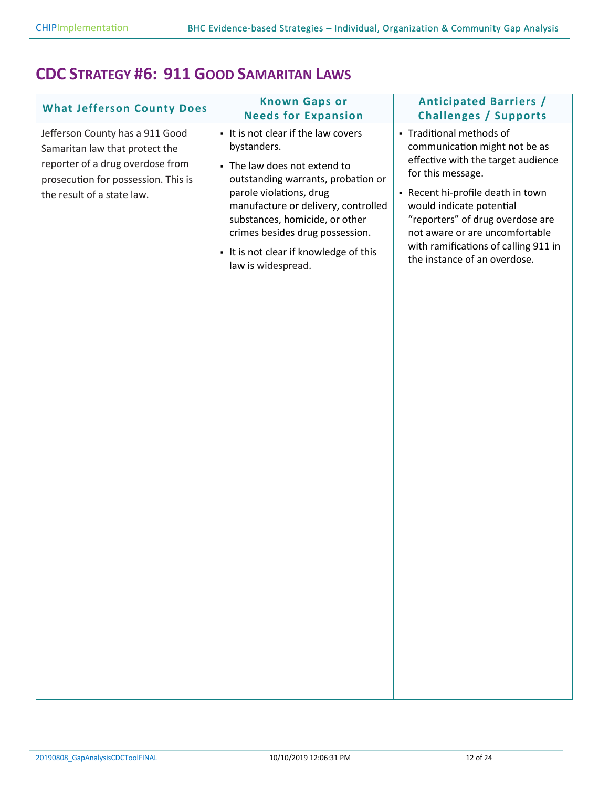#### **CDC STRATEGY #6: 911 GOOD SAMARITAN LAWS**

| <b>What Jefferson County Does</b><br>Jefferson County has a 911 Good<br>Samaritan law that protect the<br>reporter of a drug overdose from<br>prosecution for possession. This is<br>the result of a state law. | <b>Known Gaps or</b><br><b>Needs for Expansion</b><br>- It is not clear if the law covers<br>bystanders.<br>- The law does not extend to<br>outstanding warrants, probation or<br>parole violations, drug<br>manufacture or delivery, controlled<br>substances, homicide, or other<br>crimes besides drug possession.<br>- It is not clear if knowledge of this<br>law is widespread. | <b>Anticipated Barriers /</b><br><b>Challenges / Supports</b><br>- Traditional methods of<br>communication might not be as<br>effective with the target audience<br>for this message.<br>- Recent hi-profile death in town<br>would indicate potential<br>"reporters" of drug overdose are<br>not aware or are uncomfortable<br>with ramifications of calling 911 in<br>the instance of an overdose. |
|-----------------------------------------------------------------------------------------------------------------------------------------------------------------------------------------------------------------|---------------------------------------------------------------------------------------------------------------------------------------------------------------------------------------------------------------------------------------------------------------------------------------------------------------------------------------------------------------------------------------|------------------------------------------------------------------------------------------------------------------------------------------------------------------------------------------------------------------------------------------------------------------------------------------------------------------------------------------------------------------------------------------------------|
|                                                                                                                                                                                                                 |                                                                                                                                                                                                                                                                                                                                                                                       |                                                                                                                                                                                                                                                                                                                                                                                                      |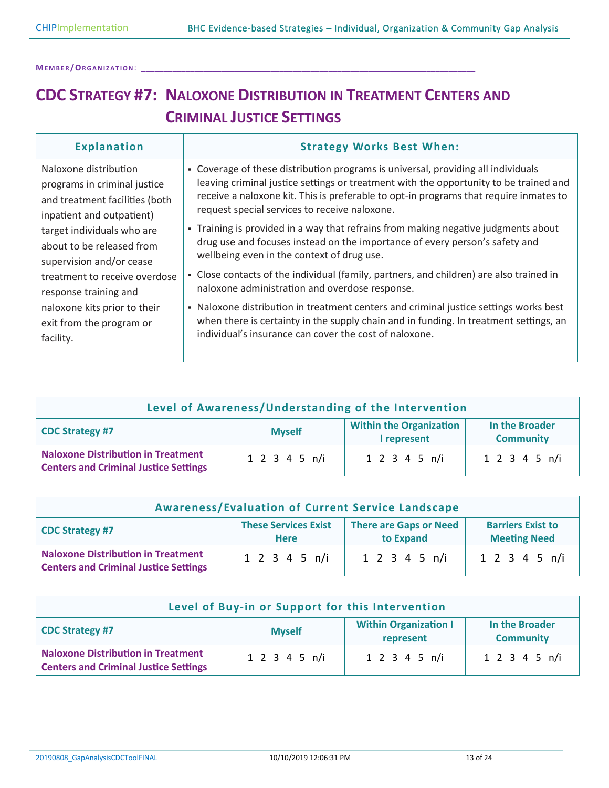## **CDC STRATEGY #7: NALOXONE DISTRIBUTION IN TREATMENT CENTERS AND CRIMINAL JUSTICE SETTINGS**

| <b>Explanation</b>                                                                                                                                                                                                                                                                                                                             | <b>Strategy Works Best When:</b>                                                                                                                                                                                                                                                                                                                                                                                                                                                                                                                                                                                                                                                                                                                                                                                                                                                                                                 |
|------------------------------------------------------------------------------------------------------------------------------------------------------------------------------------------------------------------------------------------------------------------------------------------------------------------------------------------------|----------------------------------------------------------------------------------------------------------------------------------------------------------------------------------------------------------------------------------------------------------------------------------------------------------------------------------------------------------------------------------------------------------------------------------------------------------------------------------------------------------------------------------------------------------------------------------------------------------------------------------------------------------------------------------------------------------------------------------------------------------------------------------------------------------------------------------------------------------------------------------------------------------------------------------|
| Naloxone distribution<br>programs in criminal justice<br>and treatment facilities (both<br>inpatient and outpatient)<br>target individuals who are<br>about to be released from<br>supervision and/or cease<br>treatment to receive overdose<br>response training and<br>naloxone kits prior to their<br>exit from the program or<br>facility. | - Coverage of these distribution programs is universal, providing all individuals<br>leaving criminal justice settings or treatment with the opportunity to be trained and<br>receive a naloxone kit. This is preferable to opt-in programs that require inmates to<br>request special services to receive naloxone.<br>- Training is provided in a way that refrains from making negative judgments about<br>drug use and focuses instead on the importance of every person's safety and<br>wellbeing even in the context of drug use.<br>- Close contacts of the individual (family, partners, and children) are also trained in<br>naloxone administration and overdose response.<br>- Naloxone distribution in treatment centers and criminal justice settings works best<br>when there is certainty in the supply chain and in funding. In treatment settings, an<br>individual's insurance can cover the cost of naloxone. |
|                                                                                                                                                                                                                                                                                                                                                |                                                                                                                                                                                                                                                                                                                                                                                                                                                                                                                                                                                                                                                                                                                                                                                                                                                                                                                                  |

| Level of Awareness/Understanding of the Intervention                                      |               |                                               |                                    |
|-------------------------------------------------------------------------------------------|---------------|-----------------------------------------------|------------------------------------|
| <b>CDC Strategy #7</b>                                                                    | <b>Myself</b> | <b>Within the Organization</b><br>I represent | In the Broader<br><b>Community</b> |
| <b>Naloxone Distribution in Treatment</b><br><b>Centers and Criminal Justice Settings</b> | 1 2 3 4 5 n/i | 1 2 3 4 5 n/i                                 | 1 2 3 4 5 n/i                      |

| <b>Awareness/Evaluation of Current Service Landscape</b>                                  |                                            |                                            |                                                 |
|-------------------------------------------------------------------------------------------|--------------------------------------------|--------------------------------------------|-------------------------------------------------|
| <b>CDC Strategy #7</b>                                                                    | <b>These Services Exist</b><br><b>Here</b> | <b>There are Gaps or Need</b><br>to Expand | <b>Barriers Exist to</b><br><b>Meeting Need</b> |
| <b>Naloxone Distribution in Treatment</b><br><b>Centers and Criminal Justice Settings</b> | $1 \t2 \t3 \t4 \t5 \t n/i$                 | $1 \t2 \t3 \t4 \t5 \t n/i$                 | 1 2 3 4 5 n/i                                   |

| Level of Buy-in or Support for this Intervention                                          |               |                                           |                                    |
|-------------------------------------------------------------------------------------------|---------------|-------------------------------------------|------------------------------------|
| <b>CDC Strategy #7</b>                                                                    | <b>Myself</b> | <b>Within Organization I</b><br>represent | In the Broader<br><b>Community</b> |
| <b>Naloxone Distribution in Treatment</b><br><b>Centers and Criminal Justice Settings</b> | 1 2 3 4 5 n/i | 1 2 3 4 5 n/i                             | 1 2 3 4 5 n/i                      |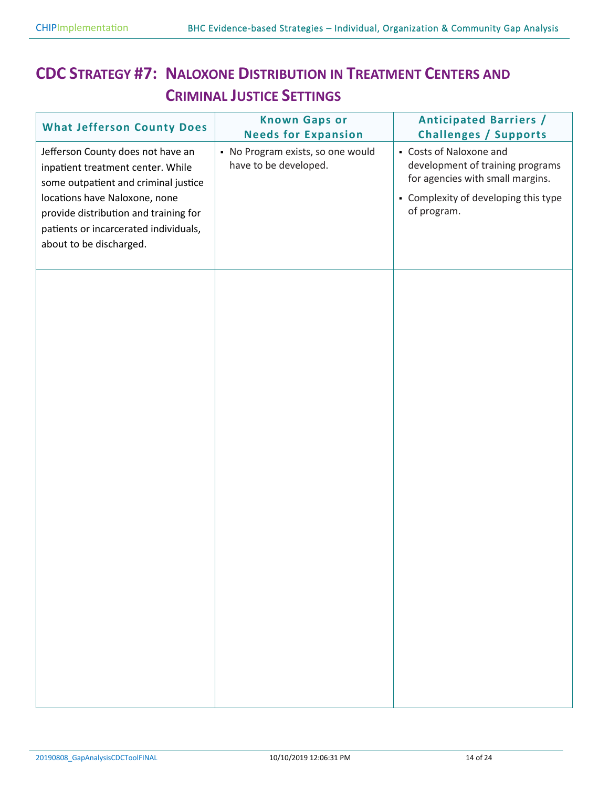## **CDC STRATEGY #7: NALOXONE DISTRIBUTION IN TREATMENT CENTERS AND CRIMINAL JUSTICE SETTINGS**

| <b>What Jefferson County Does</b>                                                                                                          | <b>Known Gaps or</b><br><b>Needs for Expansion</b>         | <b>Anticipated Barriers /</b><br><b>Challenges / Supports</b>                                   |
|--------------------------------------------------------------------------------------------------------------------------------------------|------------------------------------------------------------|-------------------------------------------------------------------------------------------------|
| Jefferson County does not have an<br>inpatient treatment center. While<br>some outpatient and criminal justice                             | • No Program exists, so one would<br>have to be developed. | - Costs of Naloxone and<br>development of training programs<br>for agencies with small margins. |
| locations have Naloxone, none<br>provide distribution and training for<br>patients or incarcerated individuals,<br>about to be discharged. |                                                            | • Complexity of developing this type<br>of program.                                             |
|                                                                                                                                            |                                                            |                                                                                                 |
|                                                                                                                                            |                                                            |                                                                                                 |
|                                                                                                                                            |                                                            |                                                                                                 |
|                                                                                                                                            |                                                            |                                                                                                 |
|                                                                                                                                            |                                                            |                                                                                                 |
|                                                                                                                                            |                                                            |                                                                                                 |
|                                                                                                                                            |                                                            |                                                                                                 |
|                                                                                                                                            |                                                            |                                                                                                 |
|                                                                                                                                            |                                                            |                                                                                                 |
|                                                                                                                                            |                                                            |                                                                                                 |
|                                                                                                                                            |                                                            |                                                                                                 |
|                                                                                                                                            |                                                            |                                                                                                 |
|                                                                                                                                            |                                                            |                                                                                                 |
|                                                                                                                                            |                                                            |                                                                                                 |
|                                                                                                                                            |                                                            |                                                                                                 |
|                                                                                                                                            |                                                            |                                                                                                 |
|                                                                                                                                            |                                                            |                                                                                                 |
|                                                                                                                                            |                                                            |                                                                                                 |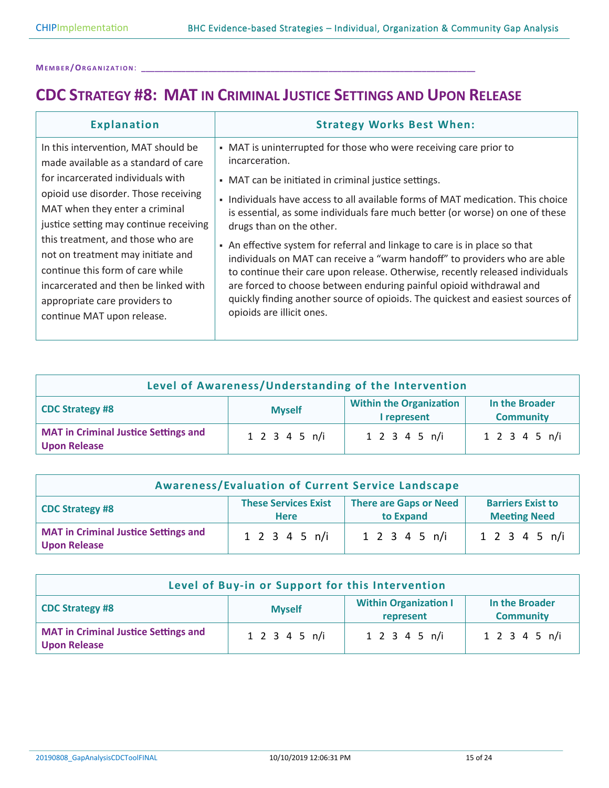### **CDC STRATEGY #8: MAT IN CRIMINAL JUSTICE SETTINGS AND UPON RELEASE**

| <b>Explanation</b>                                                                                                                                                                                                | <b>Strategy Works Best When:</b>                                                                                                                                                                                                                                                                                                                                                                                                               |
|-------------------------------------------------------------------------------------------------------------------------------------------------------------------------------------------------------------------|------------------------------------------------------------------------------------------------------------------------------------------------------------------------------------------------------------------------------------------------------------------------------------------------------------------------------------------------------------------------------------------------------------------------------------------------|
| In this intervention, MAT should be<br>made available as a standard of care                                                                                                                                       | • MAT is uninterrupted for those who were receiving care prior to<br>incarceration.                                                                                                                                                                                                                                                                                                                                                            |
| for incarcerated individuals with                                                                                                                                                                                 | • MAT can be initiated in criminal justice settings.                                                                                                                                                                                                                                                                                                                                                                                           |
| opioid use disorder. Those receiving<br>MAT when they enter a criminal<br>justice setting may continue receiving                                                                                                  | Individuals have access to all available forms of MAT medication. This choice<br>$\blacksquare$<br>is essential, as some individuals fare much better (or worse) on one of these<br>drugs than on the other.                                                                                                                                                                                                                                   |
| this treatment, and those who are<br>not on treatment may initiate and<br>continue this form of care while<br>incarcerated and then be linked with<br>appropriate care providers to<br>continue MAT upon release. | An effective system for referral and linkage to care is in place so that<br>$\blacksquare$<br>individuals on MAT can receive a "warm handoff" to providers who are able<br>to continue their care upon release. Otherwise, recently released individuals<br>are forced to choose between enduring painful opioid withdrawal and<br>quickly finding another source of opioids. The quickest and easiest sources of<br>opioids are illicit ones. |

| Level of Awareness/Understanding of the Intervention                                                                           |               |               |               |  |
|--------------------------------------------------------------------------------------------------------------------------------|---------------|---------------|---------------|--|
| <b>Within the Organization</b><br>In the Broader<br><b>CDC Strategy #8</b><br><b>Myself</b><br><b>Community</b><br>I represent |               |               |               |  |
| <b>MAT in Criminal Justice Settings and</b><br><b>Upon Release</b>                                                             | 1 2 3 4 5 n/i | 1 2 3 4 5 n/i | 1 2 3 4 5 n/i |  |

| <b>Awareness/Evaluation of Current Service Landscape</b>                                                                                                              |                            |                            |               |  |
|-----------------------------------------------------------------------------------------------------------------------------------------------------------------------|----------------------------|----------------------------|---------------|--|
| <b>These Services Exist</b><br><b>There are Gaps or Need</b><br><b>Barriers Exist to</b><br><b>CDC Strategy #8</b><br>to Expand<br><b>Meeting Need</b><br><b>Here</b> |                            |                            |               |  |
| <b>MAT in Criminal Justice Settings and</b><br><b>Upon Release</b>                                                                                                    | $1 \t2 \t3 \t4 \t5 \t n/i$ | $1 \t2 \t3 \t4 \t5 \t n/i$ | 1 2 3 4 5 n/i |  |

| Level of Buy-in or Support for this Intervention                                                                           |               |               |               |  |
|----------------------------------------------------------------------------------------------------------------------------|---------------|---------------|---------------|--|
| <b>Within Organization I</b><br>In the Broader<br><b>CDC Strategy #8</b><br><b>Myself</b><br><b>Community</b><br>represent |               |               |               |  |
| <b>MAT in Criminal Justice Settings and</b><br><b>Upon Release</b>                                                         | 1 2 3 4 5 n/i | 1 2 3 4 5 n/i | 1 2 3 4 5 n/i |  |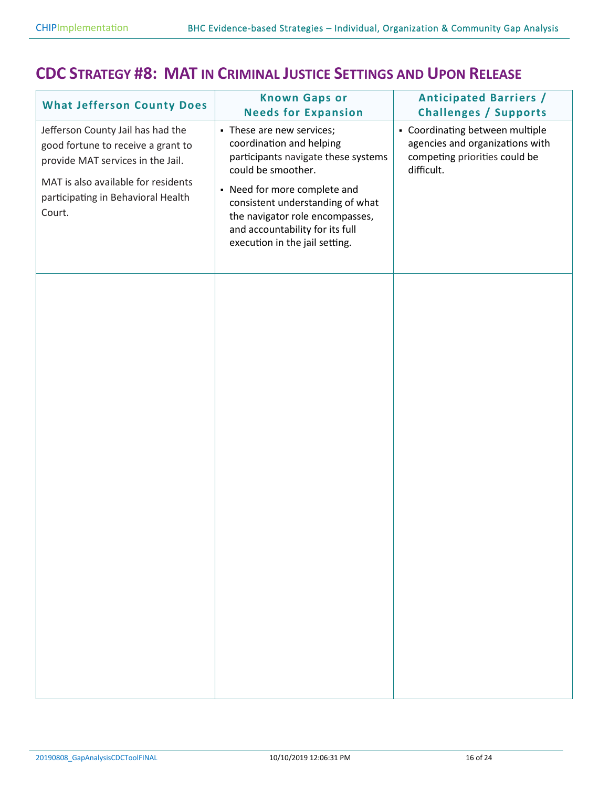#### **CDC STRATEGY #8: MAT IN CRIMINAL JUSTICE SETTINGS AND UPON RELEASE**

| <b>What Jefferson County Does</b>                                                                                                                                                                   | <b>Known Gaps or</b><br><b>Needs for Expansion</b>                                                                                                                                                                                                                                             | <b>Anticipated Barriers /</b><br><b>Challenges / Supports</b>                                                     |
|-----------------------------------------------------------------------------------------------------------------------------------------------------------------------------------------------------|------------------------------------------------------------------------------------------------------------------------------------------------------------------------------------------------------------------------------------------------------------------------------------------------|-------------------------------------------------------------------------------------------------------------------|
| Jefferson County Jail has had the<br>good fortune to receive a grant to<br>provide MAT services in the Jail.<br>MAT is also available for residents<br>participating in Behavioral Health<br>Court. | - These are new services;<br>coordination and helping<br>participants navigate these systems<br>could be smoother.<br>• Need for more complete and<br>consistent understanding of what<br>the navigator role encompasses,<br>and accountability for its full<br>execution in the jail setting. | • Coordinating between multiple<br>agencies and organizations with<br>competing priorities could be<br>difficult. |
|                                                                                                                                                                                                     |                                                                                                                                                                                                                                                                                                |                                                                                                                   |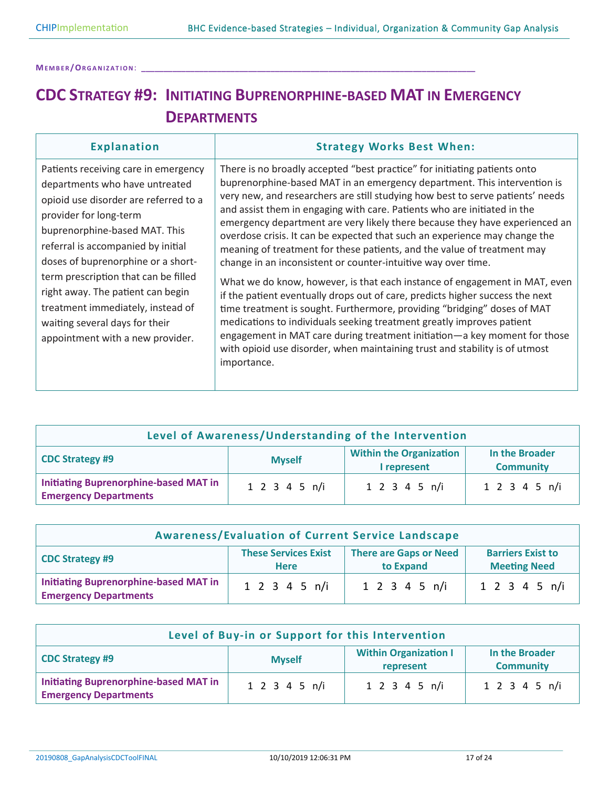**ME M B E R /OR G A N I Z A T I O N**: **\_\_\_\_\_\_\_\_\_\_\_\_\_\_\_\_\_\_\_\_\_\_\_\_\_\_\_\_\_\_\_\_\_\_\_\_\_\_\_\_\_\_\_\_\_\_\_\_\_\_\_\_\_\_\_\_\_\_\_\_\_\_\_\_\_\_\_\_\_\_\_\_\_\_\_**

## **CDC STRATEGY #9: INITIATING BUPRENORPHINE-BASED MAT IN EMERGENCY DEPARTMENTS**

| <b>Explanation</b>                                                                                                                                                                                                                                                                                                                                                                                                                             | <b>Strategy Works Best When:</b>                                                                                                                                                                                                                                                                                                                                                                                                                                                                                                                                                                                                                                                                                                                                                                                                                                                                                                                                                                                                                                                                                            |
|------------------------------------------------------------------------------------------------------------------------------------------------------------------------------------------------------------------------------------------------------------------------------------------------------------------------------------------------------------------------------------------------------------------------------------------------|-----------------------------------------------------------------------------------------------------------------------------------------------------------------------------------------------------------------------------------------------------------------------------------------------------------------------------------------------------------------------------------------------------------------------------------------------------------------------------------------------------------------------------------------------------------------------------------------------------------------------------------------------------------------------------------------------------------------------------------------------------------------------------------------------------------------------------------------------------------------------------------------------------------------------------------------------------------------------------------------------------------------------------------------------------------------------------------------------------------------------------|
| Patients receiving care in emergency<br>departments who have untreated<br>opioid use disorder are referred to a<br>provider for long-term<br>buprenorphine-based MAT. This<br>referral is accompanied by initial<br>doses of buprenorphine or a short-<br>term prescription that can be filled<br>right away. The patient can begin<br>treatment immediately, instead of<br>waiting several days for their<br>appointment with a new provider. | There is no broadly accepted "best practice" for initiating patients onto<br>buprenorphine-based MAT in an emergency department. This intervention is<br>very new, and researchers are still studying how best to serve patients' needs<br>and assist them in engaging with care. Patients who are initiated in the<br>emergency department are very likely there because they have experienced an<br>overdose crisis. It can be expected that such an experience may change the<br>meaning of treatment for these patients, and the value of treatment may<br>change in an inconsistent or counter-intuitive way over time.<br>What we do know, however, is that each instance of engagement in MAT, even<br>if the patient eventually drops out of care, predicts higher success the next<br>time treatment is sought. Furthermore, providing "bridging" doses of MAT<br>medications to individuals seeking treatment greatly improves patient<br>engagement in MAT care during treatment initiation—a key moment for those<br>with opioid use disorder, when maintaining trust and stability is of utmost<br>importance. |

| Level of Awareness/Understanding of the Intervention                                                                           |               |               |               |  |
|--------------------------------------------------------------------------------------------------------------------------------|---------------|---------------|---------------|--|
| <b>Within the Organization</b><br>In the Broader<br><b>CDC Strategy #9</b><br><b>Myself</b><br>I represent<br><b>Community</b> |               |               |               |  |
| <b>Initiating Buprenorphine-based MAT in</b><br><b>Emergency Departments</b>                                                   | 1 2 3 4 5 n/i | 1 2 3 4 5 n/i | 1 2 3 4 5 n/i |  |

| <b>Awareness/Evaluation of Current Service Landscape</b>                     |                                                                                                                                             |               |                            |  |
|------------------------------------------------------------------------------|---------------------------------------------------------------------------------------------------------------------------------------------|---------------|----------------------------|--|
| <b>CDC Strategy #9</b>                                                       | <b>These Services Exist</b><br><b>There are Gaps or Need</b><br><b>Barriers Exist to</b><br><b>Meeting Need</b><br>to Expand<br><b>Here</b> |               |                            |  |
| <b>Initiating Buprenorphine-based MAT in</b><br><b>Emergency Departments</b> | $1 \t2 \t3 \t4 \t5 \t n/i$                                                                                                                  | 1 2 3 4 5 n/i | $1 \t2 \t3 \t4 \t5 \t n/i$ |  |

| Level of Buy-in or Support for this Intervention                                                                           |               |               |               |  |
|----------------------------------------------------------------------------------------------------------------------------|---------------|---------------|---------------|--|
| <b>Within Organization I</b><br>In the Broader<br><b>CDC Strategy #9</b><br><b>Myself</b><br><b>Community</b><br>represent |               |               |               |  |
| <b>Initiating Buprenorphine-based MAT in</b><br><b>Emergency Departments</b>                                               | 1 2 3 4 5 n/i | 1 2 3 4 5 n/i | 1 2 3 4 5 n/i |  |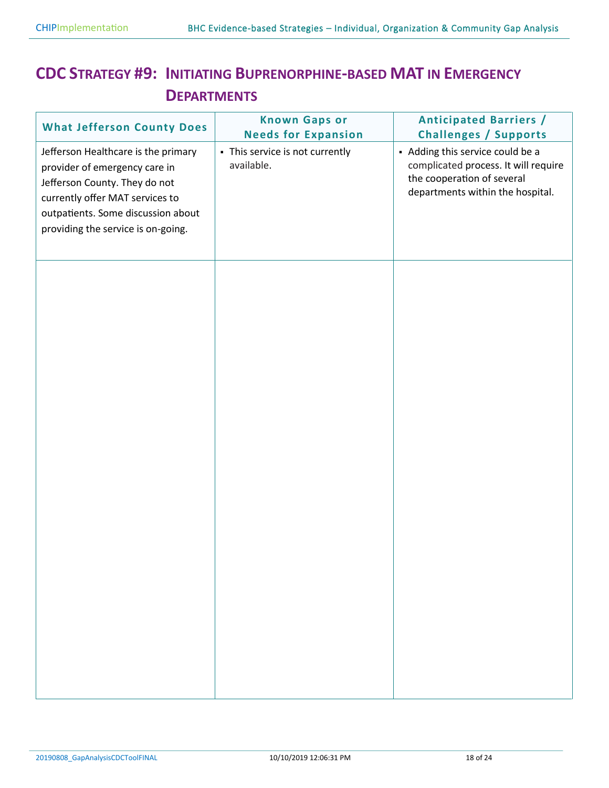### **CDC STRATEGY #9: INITIATING BUPRENORPHINE-BASED MAT IN EMERGENCY DEPARTMENTS**

| <b>What Jefferson County Does</b>                                                                                                                                                                                    | <b>Known Gaps or</b><br><b>Needs for Expansion</b> | <b>Anticipated Barriers /</b><br><b>Challenges / Supports</b>                                                                              |
|----------------------------------------------------------------------------------------------------------------------------------------------------------------------------------------------------------------------|----------------------------------------------------|--------------------------------------------------------------------------------------------------------------------------------------------|
| Jefferson Healthcare is the primary<br>provider of emergency care in<br>Jefferson County. They do not<br>currently offer MAT services to<br>outpatients. Some discussion about<br>providing the service is on-going. | - This service is not currently<br>available.      | - Adding this service could be a<br>complicated process. It will require<br>the cooperation of several<br>departments within the hospital. |
|                                                                                                                                                                                                                      |                                                    |                                                                                                                                            |
|                                                                                                                                                                                                                      |                                                    |                                                                                                                                            |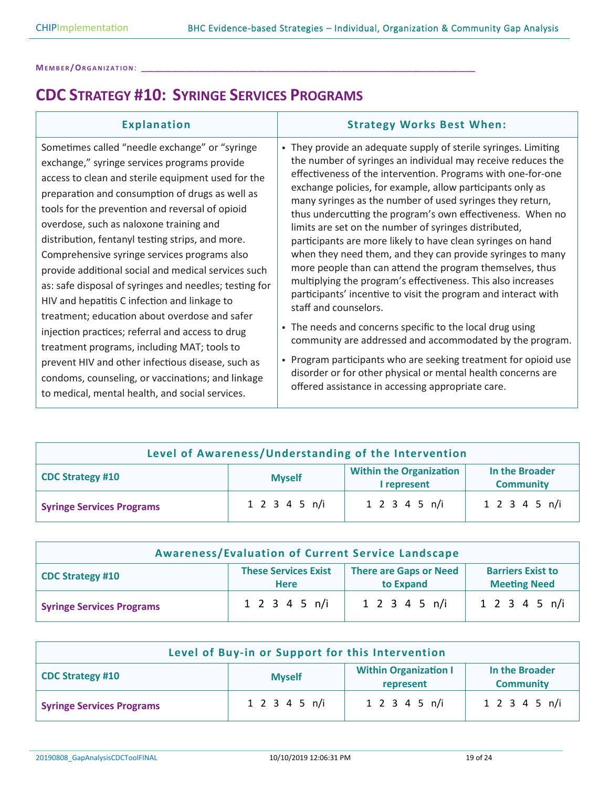### **CDC STRATEGY #10: SYRINGE SERVICES PROGRAMS**

| <b>Explanation</b>                                                                                                                                                                                                                                                                                                                                                                                                                                                                                                                                                                                                                                                                                                                                                                                                                                                                          | <b>Strategy Works Best When:</b>                                                                                                                                                                                                                                                                                                                                                                                                                                                                                                                                                                                                                                                                                                                                                                                                                                                                                                                                                                                                                                                                                       |
|---------------------------------------------------------------------------------------------------------------------------------------------------------------------------------------------------------------------------------------------------------------------------------------------------------------------------------------------------------------------------------------------------------------------------------------------------------------------------------------------------------------------------------------------------------------------------------------------------------------------------------------------------------------------------------------------------------------------------------------------------------------------------------------------------------------------------------------------------------------------------------------------|------------------------------------------------------------------------------------------------------------------------------------------------------------------------------------------------------------------------------------------------------------------------------------------------------------------------------------------------------------------------------------------------------------------------------------------------------------------------------------------------------------------------------------------------------------------------------------------------------------------------------------------------------------------------------------------------------------------------------------------------------------------------------------------------------------------------------------------------------------------------------------------------------------------------------------------------------------------------------------------------------------------------------------------------------------------------------------------------------------------------|
| Sometimes called "needle exchange" or "syringe<br>exchange," syringe services programs provide<br>access to clean and sterile equipment used for the<br>preparation and consumption of drugs as well as<br>tools for the prevention and reversal of opioid<br>overdose, such as naloxone training and<br>distribution, fentanyl testing strips, and more.<br>Comprehensive syringe services programs also<br>provide additional social and medical services such<br>as: safe disposal of syringes and needles; testing for<br>HIV and hepatitis C infection and linkage to<br>treatment; education about overdose and safer<br>injection practices; referral and access to drug<br>treatment programs, including MAT; tools to<br>prevent HIV and other infectious disease, such as<br>condoms, counseling, or vaccinations; and linkage<br>to medical, mental health, and social services. | • They provide an adequate supply of sterile syringes. Limiting<br>the number of syringes an individual may receive reduces the<br>effectiveness of the intervention. Programs with one-for-one<br>exchange policies, for example, allow participants only as<br>many syringes as the number of used syringes they return,<br>thus undercutting the program's own effectiveness. When no<br>limits are set on the number of syringes distributed,<br>participants are more likely to have clean syringes on hand<br>when they need them, and they can provide syringes to many<br>more people than can attend the program themselves, thus<br>multiplying the program's effectiveness. This also increases<br>participants' incentive to visit the program and interact with<br>staff and counselors.<br>• The needs and concerns specific to the local drug using<br>community are addressed and accommodated by the program.<br>- Program participants who are seeking treatment for opioid use<br>disorder or for other physical or mental health concerns are<br>offered assistance in accessing appropriate care. |

| Level of Awareness/Understanding of the Intervention |                                                                                                      |               |               |  |
|------------------------------------------------------|------------------------------------------------------------------------------------------------------|---------------|---------------|--|
| <b>CDC Strategy #10</b>                              | <b>Within the Organization</b><br>In the Broader<br><b>Myself</b><br>I represent<br><b>Community</b> |               |               |  |
| <b>Syringe Services Programs</b>                     | 1 2 3 4 5 n/i                                                                                        | 1 2 3 4 5 n/i | 1 2 3 4 5 n/i |  |

| <b>Awareness/Evaluation of Current Service Landscape</b> |                                                                                                                                             |                            |                            |  |
|----------------------------------------------------------|---------------------------------------------------------------------------------------------------------------------------------------------|----------------------------|----------------------------|--|
| <b>CDC Strategy #10</b>                                  | <b>These Services Exist</b><br><b>There are Gaps or Need</b><br><b>Barriers Exist to</b><br><b>Meeting Need</b><br>to Expand<br><b>Here</b> |                            |                            |  |
| <b>Syringe Services Programs</b>                         | $1 \t2 \t3 \t4 \t5 \t n/i$                                                                                                                  | $1 \t2 \t3 \t4 \t5 \t n/i$ | $1 \t2 \t3 \t4 \t5 \t n/i$ |  |

| Level of Buy-in or Support for this Intervention                                                                            |               |               |               |
|-----------------------------------------------------------------------------------------------------------------------------|---------------|---------------|---------------|
| <b>Within Organization I</b><br>In the Broader<br><b>CDC Strategy #10</b><br><b>Myself</b><br><b>Community</b><br>represent |               |               |               |
| <b>Syringe Services Programs</b>                                                                                            | 1 2 3 4 5 n/i | 1 2 3 4 5 n/i | 1 2 3 4 5 n/i |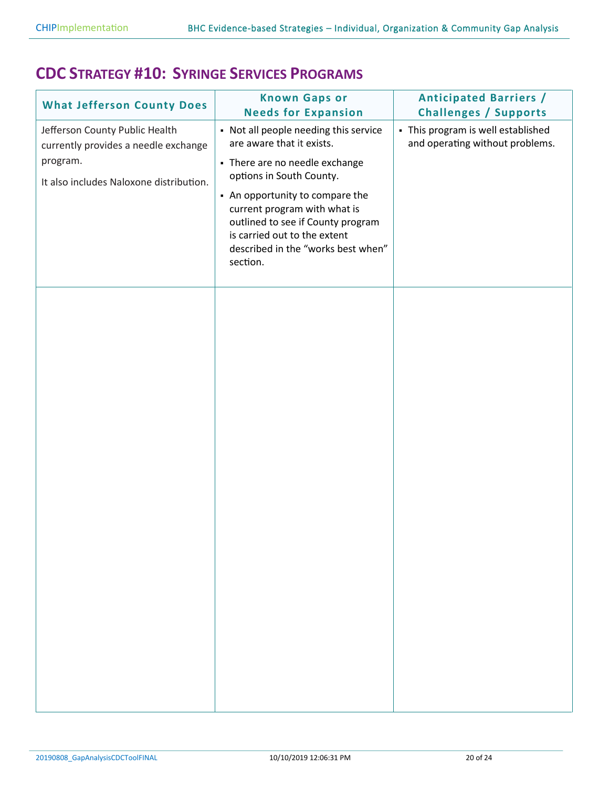#### **CDC STRATEGY #10: SYRINGE SERVICES PROGRAMS**

| <b>What Jefferson County Does</b>                                                                                             | <b>Known Gaps or</b><br><b>Needs for Expansion</b>                                                                                                                                                                                                                                                                         | <b>Anticipated Barriers /</b><br><b>Challenges / Supports</b>         |
|-------------------------------------------------------------------------------------------------------------------------------|----------------------------------------------------------------------------------------------------------------------------------------------------------------------------------------------------------------------------------------------------------------------------------------------------------------------------|-----------------------------------------------------------------------|
| Jefferson County Public Health<br>currently provides a needle exchange<br>program.<br>It also includes Naloxone distribution. | • Not all people needing this service<br>are aware that it exists.<br>- There are no needle exchange<br>options in South County.<br>• An opportunity to compare the<br>current program with what is<br>outlined to see if County program<br>is carried out to the extent<br>described in the "works best when"<br>section. | - This program is well established<br>and operating without problems. |
|                                                                                                                               |                                                                                                                                                                                                                                                                                                                            |                                                                       |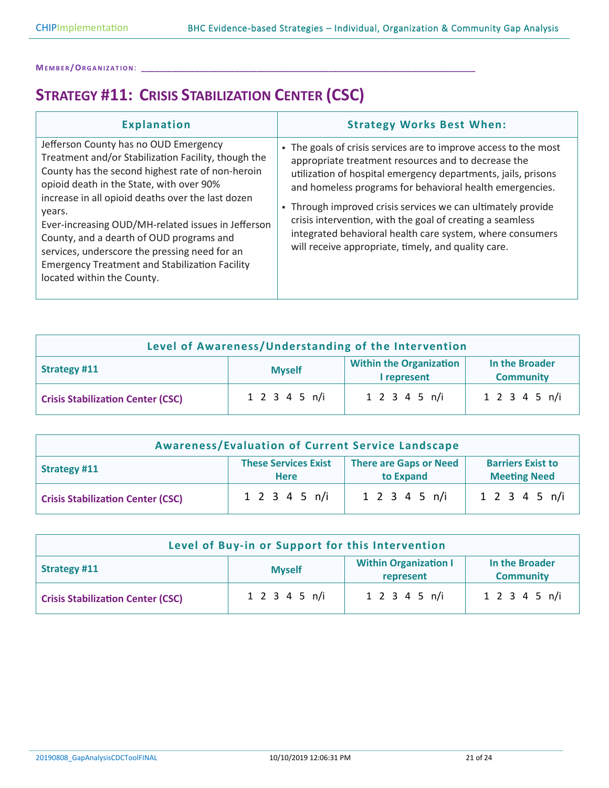## **STRATEGY #11: CRISIS STABILIZATION CENTER (CSC)**

| <b>Explanation</b>                                                                                                                                                                                                                                                                                                                                                                                                                                                                                    | <b>Strategy Works Best When:</b>                                                                                                                                                                                                                                                                                                                                                                                                                                                                    |
|-------------------------------------------------------------------------------------------------------------------------------------------------------------------------------------------------------------------------------------------------------------------------------------------------------------------------------------------------------------------------------------------------------------------------------------------------------------------------------------------------------|-----------------------------------------------------------------------------------------------------------------------------------------------------------------------------------------------------------------------------------------------------------------------------------------------------------------------------------------------------------------------------------------------------------------------------------------------------------------------------------------------------|
| Jefferson County has no OUD Emergency<br>Treatment and/or Stabilization Facility, though the<br>County has the second highest rate of non-heroin<br>opioid death in the State, with over 90%<br>increase in all opioid deaths over the last dozen<br>years.<br>Ever-increasing OUD/MH-related issues in Jefferson<br>County, and a dearth of OUD programs and<br>services, underscore the pressing need for an<br><b>Emergency Treatment and Stabilization Facility</b><br>located within the County. | The goals of crisis services are to improve access to the most<br>appropriate treatment resources and to decrease the<br>utilization of hospital emergency departments, jails, prisons<br>and homeless programs for behavioral health emergencies.<br>• Through improved crisis services we can ultimately provide<br>crisis intervention, with the goal of creating a seamless<br>integrated behavioral health care system, where consumers<br>will receive appropriate, timely, and quality care. |

| Level of Awareness/Understanding of the Intervention                                                                        |               |               |               |
|-----------------------------------------------------------------------------------------------------------------------------|---------------|---------------|---------------|
| <b>Within the Organization</b><br>In the Broader<br><b>Strategy #11</b><br><b>Myself</b><br><b>Community</b><br>I represent |               |               |               |
| <b>Crisis Stabilization Center (CSC)</b>                                                                                    | 1 2 3 4 5 n/i | 1 2 3 4 5 n/i | 1 2 3 4 5 n/i |

| <b>Awareness/Evaluation of Current Service Landscape</b> |                                                                                                                                             |               |                            |
|----------------------------------------------------------|---------------------------------------------------------------------------------------------------------------------------------------------|---------------|----------------------------|
| <b>Strategy #11</b>                                      | <b>These Services Exist</b><br><b>There are Gaps or Need</b><br><b>Barriers Exist to</b><br>to Expand<br><b>Meeting Need</b><br><b>Here</b> |               |                            |
| <b>Crisis Stabilization Center (CSC)</b>                 | $1 \t2 \t3 \t4 \t5 \t n/i$                                                                                                                  | 1 2 3 4 5 n/i | $1 \t2 \t3 \t4 \t5 \t n/i$ |

| Level of Buy-in or Support for this Intervention                                                                 |                            |               |               |
|------------------------------------------------------------------------------------------------------------------|----------------------------|---------------|---------------|
| <b>Within Organization I</b><br>In the Broader<br>Strategy #11<br><b>Myself</b><br><b>Community</b><br>represent |                            |               |               |
| <b>Crisis Stabilization Center (CSC)</b>                                                                         | $1 \t2 \t3 \t4 \t5 \t n/i$ | 1 2 3 4 5 n/i | 1 2 3 4 5 n/i |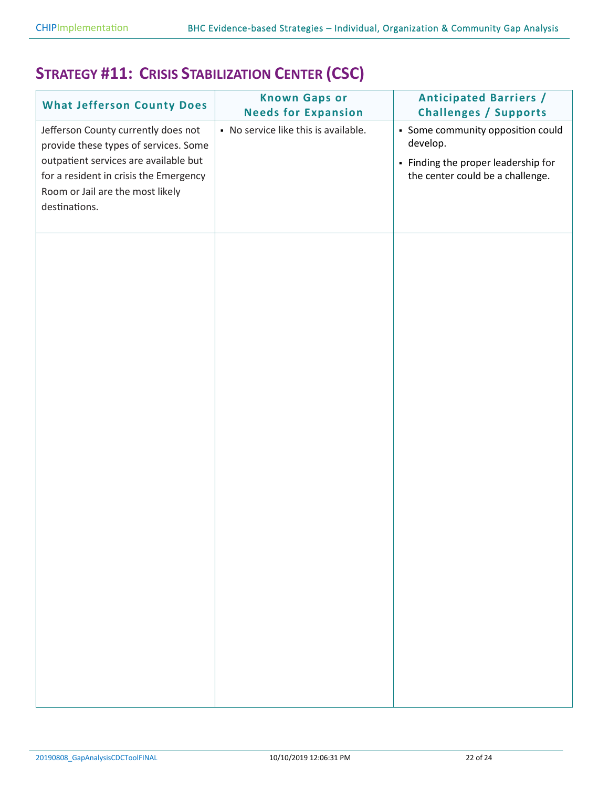## **STRATEGY #11: CRISIS STABILIZATION CENTER (CSC)**

| <b>What Jefferson County Does</b>                                                                                                                                                                                    | <b>Known Gaps or</b><br><b>Needs for Expansion</b> | <b>Anticipated Barriers /</b><br><b>Challenges / Supports</b>                                                            |
|----------------------------------------------------------------------------------------------------------------------------------------------------------------------------------------------------------------------|----------------------------------------------------|--------------------------------------------------------------------------------------------------------------------------|
| Jefferson County currently does not<br>provide these types of services. Some<br>outpatient services are available but<br>for a resident in crisis the Emergency<br>Room or Jail are the most likely<br>destinations. | • No service like this is available.               | • Some community opposition could<br>develop.<br>- Finding the proper leadership for<br>the center could be a challenge. |
|                                                                                                                                                                                                                      |                                                    |                                                                                                                          |
|                                                                                                                                                                                                                      |                                                    |                                                                                                                          |
|                                                                                                                                                                                                                      |                                                    |                                                                                                                          |
|                                                                                                                                                                                                                      |                                                    |                                                                                                                          |
|                                                                                                                                                                                                                      |                                                    |                                                                                                                          |
|                                                                                                                                                                                                                      |                                                    |                                                                                                                          |
|                                                                                                                                                                                                                      |                                                    |                                                                                                                          |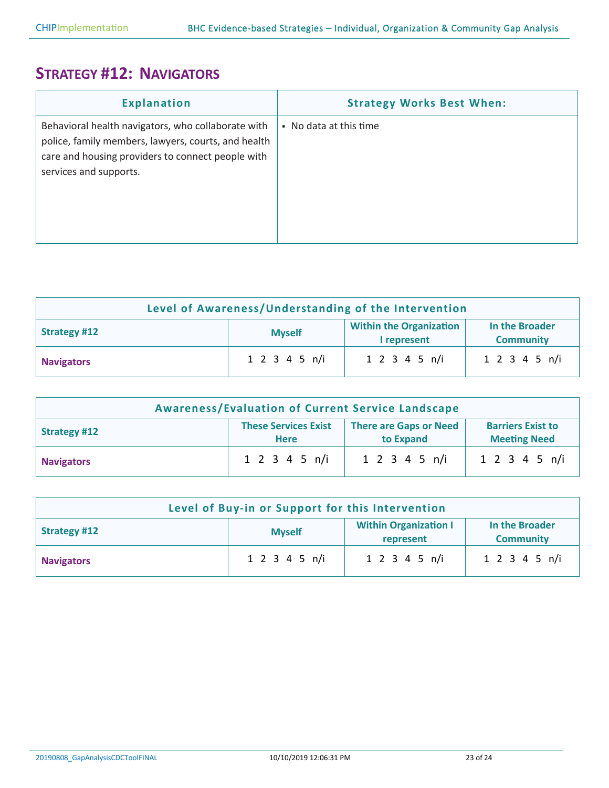### **STRATEGY #12: NAVIGATORS**

| <b>Explanation</b>                                                                                                                                                                       | <b>Strategy Works Best When:</b> |
|------------------------------------------------------------------------------------------------------------------------------------------------------------------------------------------|----------------------------------|
| Behavioral health navigators, who collaborate with<br>police, family members, lawyers, courts, and health<br>care and housing providers to connect people with<br>services and supports. | • No data at this time           |

| Level of Awareness/Understanding of the Intervention                                                                 |               |               |               |
|----------------------------------------------------------------------------------------------------------------------|---------------|---------------|---------------|
| <b>Within the Organization</b><br>In the Broader<br>Strategy #12<br><b>Myself</b><br><b>Community</b><br>I represent |               |               |               |
| <b>Navigators</b>                                                                                                    | 1 2 3 4 5 n/i | 1 2 3 4 5 n/i | 1 2 3 4 5 n/i |

| <b>Awareness/Evaluation of Current Service Landscape</b> |                                                                                                                                             |                            |               |  |
|----------------------------------------------------------|---------------------------------------------------------------------------------------------------------------------------------------------|----------------------------|---------------|--|
| <b>Strategy #12</b>                                      | <b>These Services Exist</b><br><b>There are Gaps or Need</b><br><b>Barriers Exist to</b><br><b>Meeting Need</b><br>to Expand<br><b>Here</b> |                            |               |  |
| <b>Navigators</b>                                        | 1 2 3 4 5 n/i                                                                                                                               | $1 \t2 \t3 \t4 \t5 \t n/i$ | 1 2 3 4 5 n/i |  |

| Level of Buy-in or Support for this Intervention                                                                        |               |               |               |
|-------------------------------------------------------------------------------------------------------------------------|---------------|---------------|---------------|
| <b>Within Organization I</b><br>In the Broader<br><b>Strategy #12</b><br><b>Myself</b><br><b>Community</b><br>represent |               |               |               |
| <b>Navigators</b>                                                                                                       | 1 2 3 4 5 n/i | 1 2 3 4 5 n/i | 1 2 3 4 5 n/i |